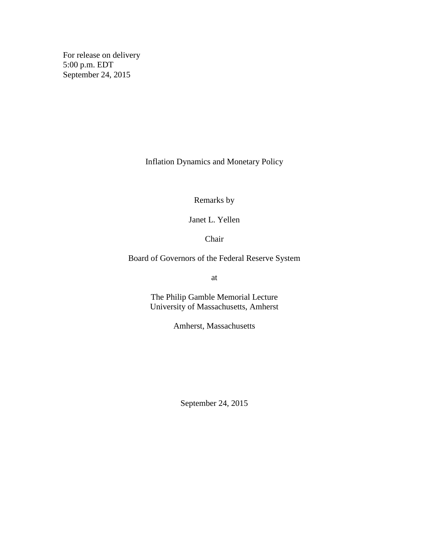For release on delivery 5:00 p.m. EDT September 24, 2015

Inflation Dynamics and Monetary Policy

Remarks by

Janet L. Yellen

Chair

Board of Governors of the Federal Reserve System

at

The Philip Gamble Memorial Lecture University of Massachusetts, Amherst

Amherst, Massachusetts

September 24, 2015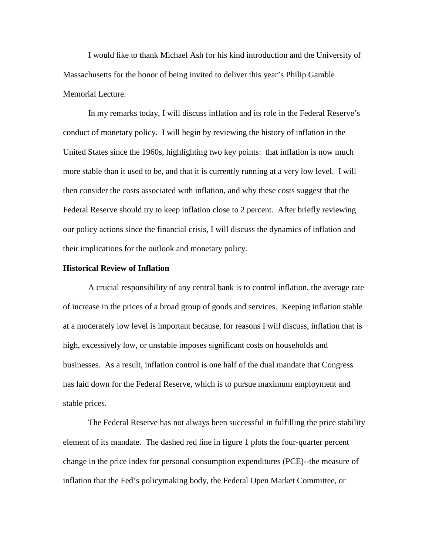I would like to thank Michael Ash for his kind introduction and the University of Massachusetts for the honor of being invited to deliver this year's Philip Gamble Memorial Lecture.

In my remarks today, I will discuss inflation and its role in the Federal Reserve's conduct of monetary policy. I will begin by reviewing the history of inflation in the United States since the 1960s, highlighting two key points: that inflation is now much more stable than it used to be, and that it is currently running at a very low level. I will then consider the costs associated with inflation, and why these costs suggest that the Federal Reserve should try to keep inflation close to 2 percent. After briefly reviewing our policy actions since the financial crisis, I will discuss the dynamics of inflation and their implications for the outlook and monetary policy.

#### **Historical Review of Inflation**

A crucial responsibility of any central bank is to control inflation, the average rate of increase in the prices of a broad group of goods and services. Keeping inflation stable at a moderately low level is important because, for reasons I will discuss, inflation that is high, excessively low, or unstable imposes significant costs on households and businesses. As a result, inflation control is one half of the dual mandate that Congress has laid down for the Federal Reserve, which is to pursue maximum employment and stable prices.

The Federal Reserve has not always been successful in fulfilling the price stability element of its mandate. The dashed red line in figure 1 plots the four-quarter percent change in the price index for personal consumption expenditures (PCE)--the measure of inflation that the Fed's policymaking body, the Federal Open Market Committee, or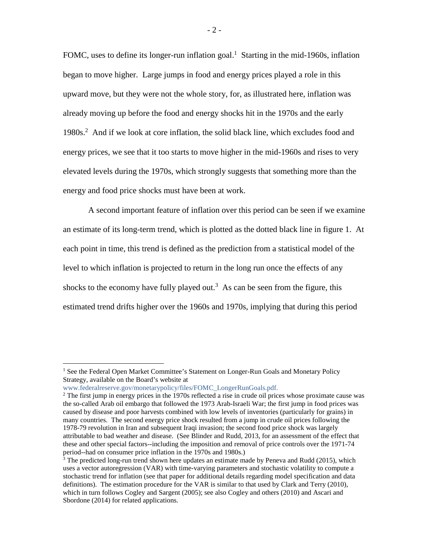FOMC, uses to define its longer-run inflation goal.<sup>1</sup> Starting in the mid-1960s, inflation began to move higher. Large jumps in food and energy prices played a role in this upward move, but they were not the whole story, for, as illustrated here, inflation was already moving up before the food and energy shocks hit in the 1970s and the early 1980s.<sup>2</sup> And if we look at core inflation, the solid black line, which excludes food and energy prices, we see that it too starts to move higher in the mid-1960s and rises to very elevated levels during the 1970s, which strongly suggests that something more than the energy and food price shocks must have been at work.

A second important feature of inflation over this period can be seen if we examine an estimate of its long-term trend, which is plotted as the dotted black line in figure 1. At each point in time, this trend is defined as the prediction from a statistical model of the level to which inflation is projected to return in the long run once the effects of any shocks to the economy have fully played out.<sup>3</sup> As can be seen from the figure, this estimated trend drifts higher over the 1960s and 1970s, implying that during this period

<sup>&</sup>lt;sup>1</sup> See the Federal Open Market Committee's Statement on Longer-Run Goals and Monetary Policy Strategy, available on the Board's website at

www.federalreserve.gov/monetarypolicy/files/FOMC\_LongerRunGoals.pdf.<br><sup>2</sup> The first jump in energy prices in the 1970s reflected a rise in crude oil prices whose proximate cause was the so-called Arab oil embargo that followed the 1973 Arab-Israeli War; the first jump in food prices was caused by disease and poor harvests combined with low levels of inventories (particularly for grains) in many countries. The second energy price shock resulted from a jump in crude oil prices following the 1978-79 revolution in Iran and subsequent Iraqi invasion; the second food price shock was largely attributable to bad weather and disease. (See Blinder and Rudd, 2013, for an assessment of the effect that these and other special factors--including the imposition and removal of price controls over the 1971-74 period--had on consumer price inflation in the 1970s and 1980s.)<br><sup>3</sup> The predicted long-run trend shown here updates an estimate made by Peneva and Rudd (2015), which

uses a vector autoregression (VAR) with time-varying parameters and stochastic volatility to compute a stochastic trend for inflation (see that paper for additional details regarding model specification and data definitions). The estimation procedure for the VAR is similar to that used by Clark and Terry (2010), which in turn follows Cogley and Sargent (2005); see also Cogley and others (2010) and Ascari and Sbordone (2014) for related applications.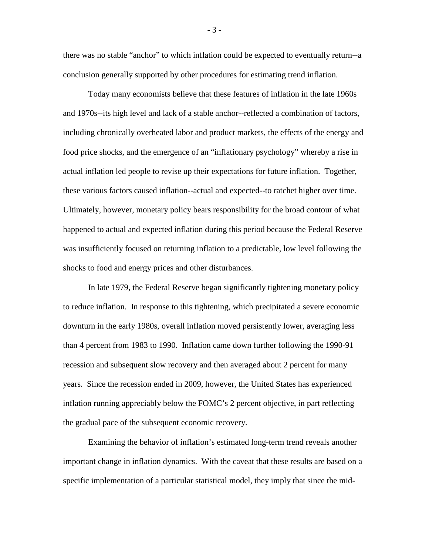there was no stable "anchor" to which inflation could be expected to eventually return--a conclusion generally supported by other procedures for estimating trend inflation.

Today many economists believe that these features of inflation in the late 1960s and 1970s--its high level and lack of a stable anchor--reflected a combination of factors, including chronically overheated labor and product markets, the effects of the energy and food price shocks, and the emergence of an "inflationary psychology" whereby a rise in actual inflation led people to revise up their expectations for future inflation. Together, these various factors caused inflation--actual and expected--to ratchet higher over time. Ultimately, however, monetary policy bears responsibility for the broad contour of what happened to actual and expected inflation during this period because the Federal Reserve was insufficiently focused on returning inflation to a predictable, low level following the shocks to food and energy prices and other disturbances.

In late 1979, the Federal Reserve began significantly tightening monetary policy to reduce inflation. In response to this tightening, which precipitated a severe economic downturn in the early 1980s, overall inflation moved persistently lower, averaging less than 4 percent from 1983 to 1990. Inflation came down further following the 1990-91 recession and subsequent slow recovery and then averaged about 2 percent for many years. Since the recession ended in 2009, however, the United States has experienced inflation running appreciably below the FOMC's 2 percent objective, in part reflecting the gradual pace of the subsequent economic recovery.

Examining the behavior of inflation's estimated long-term trend reveals another important change in inflation dynamics. With the caveat that these results are based on a specific implementation of a particular statistical model, they imply that since the mid-

- 3 -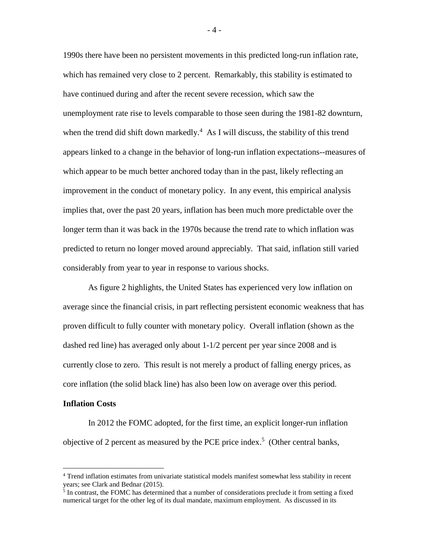1990s there have been no persistent movements in this predicted long-run inflation rate, which has remained very close to 2 percent. Remarkably, this stability is estimated to have continued during and after the recent severe recession, which saw the unemployment rate rise to levels comparable to those seen during the 1981-82 downturn, when the trend did shift down markedly.<sup>4</sup> As I will discuss, the stability of this trend appears linked to a change in the behavior of long-run inflation expectations--measures of which appear to be much better anchored today than in the past, likely reflecting an improvement in the conduct of monetary policy. In any event, this empirical analysis implies that, over the past 20 years, inflation has been much more predictable over the longer term than it was back in the 1970s because the trend rate to which inflation was predicted to return no longer moved around appreciably. That said, inflation still varied considerably from year to year in response to various shocks.

As figure 2 highlights, the United States has experienced very low inflation on average since the financial crisis, in part reflecting persistent economic weakness that has proven difficult to fully counter with monetary policy. Overall inflation (shown as the dashed red line) has averaged only about 1-1/2 percent per year since 2008 and is currently close to zero. This result is not merely a product of falling energy prices, as core inflation (the solid black line) has also been low on average over this period.

#### **Inflation Costs**

In 2012 the FOMC adopted, for the first time, an explicit longer-run inflation objective of 2 percent as measured by the PCE price index.<sup>5</sup> (Other central banks,

- 4 -

 <sup>4</sup> Trend inflation estimates from univariate statistical models manifest somewhat less stability in recent years; see Clark and Bednar (2015).

 $<sup>5</sup>$  In contrast, the FOMC has determined that a number of considerations preclude it from setting a fixed</sup> numerical target for the other leg of its dual mandate, maximum employment. As discussed in its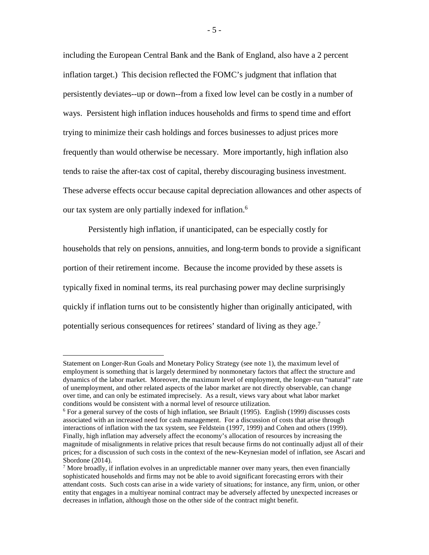including the European Central Bank and the Bank of England, also have a 2 percent inflation target.) This decision reflected the FOMC's judgment that inflation that persistently deviates--up or down--from a fixed low level can be costly in a number of ways. Persistent high inflation induces households and firms to spend time and effort trying to minimize their cash holdings and forces businesses to adjust prices more frequently than would otherwise be necessary. More importantly, high inflation also tends to raise the after-tax cost of capital, thereby discouraging business investment. These adverse effects occur because capital depreciation allowances and other aspects of our tax system are only partially indexed for inflation.<sup>6</sup>

Persistently high inflation, if unanticipated, can be especially costly for households that rely on pensions, annuities, and long-term bonds to provide a significant portion of their retirement income. Because the income provided by these assets is typically fixed in nominal terms, its real purchasing power may decline surprisingly quickly if inflation turns out to be consistently higher than originally anticipated, with potentially serious consequences for retirees' standard of living as they age.<sup>7</sup>

 $\overline{a}$ 

Statement on Longer-Run Goals and Monetary Policy Strategy (see note 1), the maximum level of employment is something that is largely determined by nonmonetary factors that affect the structure and dynamics of the labor market. Moreover, the maximum level of employment, the longer-run "natural" rate of unemployment, and other related aspects of the labor market are not directly observable, can change over time, and can only be estimated imprecisely. As a result, views vary about what labor market conditions would be consistent with a normal level of resource utilization.

 $6$  For a general survey of the costs of high inflation, see Briault (1995). English (1999) discusses costs associated with an increased need for cash management. For a discussion of costs that arise through interactions of inflation with the tax system, see Feldstein (1997, 1999) and Cohen and others (1999). Finally, high inflation may adversely affect the economy's allocation of resources by increasing the magnitude of misalignments in relative prices that result because firms do not continually adjust all of their prices; for a discussion of such costs in the context of the new-Keynesian model of inflation, see Ascari and Sbordone (2014).<br><sup>7</sup> More broadly, if inflation evolves in an unpredictable manner over many years, then even financially

sophisticated households and firms may not be able to avoid significant forecasting errors with their attendant costs. Such costs can arise in a wide variety of situations; for instance, any firm, union, or other entity that engages in a multiyear nominal contract may be adversely affected by unexpected increases or decreases in inflation, although those on the other side of the contract might benefit.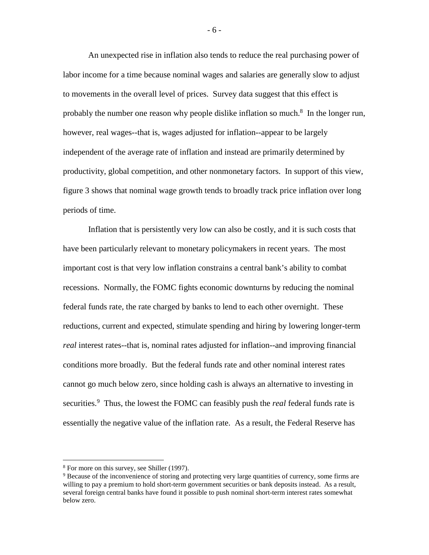An unexpected rise in inflation also tends to reduce the real purchasing power of labor income for a time because nominal wages and salaries are generally slow to adjust to movements in the overall level of prices. Survey data suggest that this effect is probably the number one reason why people dislike inflation so much.<sup>8</sup> In the longer run, however, real wages--that is, wages adjusted for inflation--appear to be largely independent of the average rate of inflation and instead are primarily determined by productivity, global competition, and other nonmonetary factors. In support of this view, figure 3 shows that nominal wage growth tends to broadly track price inflation over long periods of time.

Inflation that is persistently very low can also be costly, and it is such costs that have been particularly relevant to monetary policymakers in recent years. The most important cost is that very low inflation constrains a central bank's ability to combat recessions. Normally, the FOMC fights economic downturns by reducing the nominal federal funds rate, the rate charged by banks to lend to each other overnight. These reductions, current and expected, stimulate spending and hiring by lowering longer-term *real* interest rates--that is, nominal rates adjusted for inflation--and improving financial conditions more broadly. But the federal funds rate and other nominal interest rates cannot go much below zero, since holding cash is always an alternative to investing in securities.<sup>9</sup> Thus, the lowest the FOMC can feasibly push the *real* federal funds rate is essentially the negative value of the inflation rate. As a result, the Federal Reserve has

 <sup>8</sup> For more on this survey, see Shiller (1997).

<sup>&</sup>lt;sup>9</sup> Because of the inconvenience of storing and protecting very large quantities of currency, some firms are willing to pay a premium to hold short-term government securities or bank deposits instead. As a result, several foreign central banks have found it possible to push nominal short-term interest rates somewhat below zero.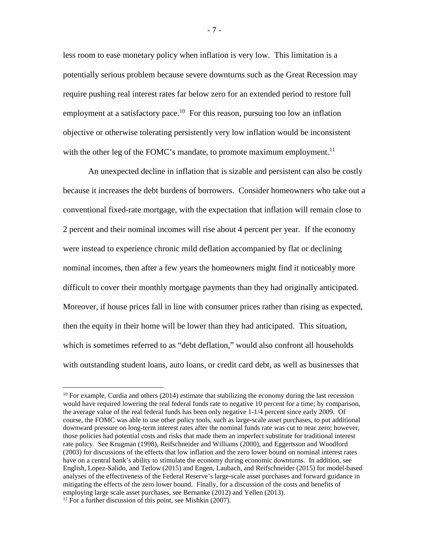less room to ease monetary policy when inflation is very low. This limitation is a potentially serious problem because severe downturns such as the Great Recession may require pushing real interest rates far below zero for an extended period to restore full employment at a satisfactory pace.<sup>10</sup> For this reason, pursuing too low an inflation objective or otherwise tolerating persistently very low inflation would be inconsistent with the other leg of the FOMC's mandate, to promote maximum employment.<sup>11</sup>

An unexpected decline in inflation that is sizable and persistent can also be costly because it increases the debt burdens of borrowers. Consider homeowners who take out a conventional fixed-rate mortgage, with the expectation that inflation will remain close to 2 percent and their nominal incomes will rise about 4 percent per year. If the economy were instead to experience chronic mild deflation accompanied by flat or declining nominal incomes, then after a few years the homeowners might find it noticeably more difficult to cover their monthly mortgage payments than they had originally anticipated. Moreover, if house prices fall in line with consumer prices rather than rising as expected, then the equity in their home will be lower than they had anticipated. This situation, which is sometimes referred to as "debt deflation," would also confront all households with outstanding student loans, auto loans, or credit card debt, as well as businesses that

- 7 -

 $10$  For example, Curdia and others (2014) estimate that stabilizing the economy during the last recession would have required lowering the real federal funds rate to negative 10 percent for a time; by comparison, the average value of the real federal funds has been only negative 1-1/4 percent since early 2009. Of course, the FOMC was able to use other policy tools, such as large-scale asset purchases, to put additional downward pressure on long-term interest rates after the nominal funds rate was cut to near zero; however, those policies had potential costs and risks that made them an imperfect substitute for traditional interest rate policy. See Krugman (1998), Reifschneider and Williams (2000), and Eggertsson and Woodford (2003) for discussions of the effects that low inflation and the zero lower bound on nominal interest rates have on a central bank's ability to stimulate the economy during economic downturns. In addition, see English, Lopez-Salido, and Tetlow (2015) and Engen, Laubach, and Reifschneider (2015) for model-based analyses of the effectiveness of the Federal Reserve's large-scale asset purchases and forward guidance in mitigating the effects of the zero lower bound. Finally, for a discussion of the costs and benefits of employing large scale asset purchases, see Bernanke (2012) and Yellen (2013).

 $11$  For a further discussion of this point, see Mishkin (2007).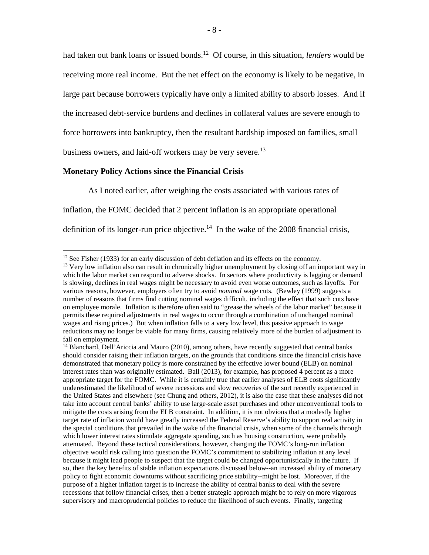had taken out bank loans or issued bonds.12 Of course, in this situation, *lenders* would be receiving more real income. But the net effect on the economy is likely to be negative, in large part because borrowers typically have only a limited ability to absorb losses. And if the increased debt-service burdens and declines in collateral values are severe enough to force borrowers into bankruptcy, then the resultant hardship imposed on families, small business owners, and laid-off workers may be very severe.<sup>13</sup>

### **Monetary Policy Actions since the Financial Crisis**

As I noted earlier, after weighing the costs associated with various rates of inflation, the FOMC decided that 2 percent inflation is an appropriate operational definition of its longer-run price objective.<sup>14</sup> In the wake of the 2008 financial crisis,

 $12$  See Fisher (1933) for an early discussion of debt deflation and its effects on the economy.

<sup>&</sup>lt;sup>13</sup> Very low inflation also can result in chronically higher unemployment by closing off an important way in which the labor market can respond to adverse shocks. In sectors where productivity is lagging or demand is slowing, declines in real wages might be necessary to avoid even worse outcomes, such as layoffs. For various reasons, however, employers often try to avoid *nominal* wage cuts. (Bewley (1999) suggests a number of reasons that firms find cutting nominal wages difficult, including the effect that such cuts have on employee morale. Inflation is therefore often said to "grease the wheels of the labor market" because it permits these required adjustments in real wages to occur through a combination of unchanged nominal wages and rising prices.) But when inflation falls to a very low level, this passive approach to wage reductions may no longer be viable for many firms, causing relatively more of the burden of adjustment to fall on employment.

<sup>&</sup>lt;sup>14</sup> Blanchard, Dell'Ariccia and Mauro (2010), among others, have recently suggested that central banks should consider raising their inflation targets, on the grounds that conditions since the financial crisis have demonstrated that monetary policy is more constrained by the effective lower bound (ELB) on nominal interest rates than was originally estimated. Ball (2013), for example, has proposed 4 percent as a more appropriate target for the FOMC. While it is certainly true that earlier analyses of ELB costs significantly underestimated the likelihood of severe recessions and slow recoveries of the sort recently experienced in the United States and elsewhere (see Chung and others, 2012), it is also the case that these analyses did not take into account central banks' ability to use large-scale asset purchases and other unconventional tools to mitigate the costs arising from the ELB constraint. In addition, it is not obvious that a modestly higher target rate of inflation would have greatly increased the Federal Reserve's ability to support real activity in the special conditions that prevailed in the wake of the financial crisis, when some of the channels through which lower interest rates stimulate aggregate spending, such as housing construction, were probably attenuated. Beyond these tactical considerations, however, changing the FOMC's long-run inflation objective would risk calling into question the FOMC's commitment to stabilizing inflation at any level because it might lead people to suspect that the target could be changed opportunistically in the future. If so, then the key benefits of stable inflation expectations discussed below--an increased ability of monetary policy to fight economic downturns without sacrificing price stability--might be lost. Moreover, if the purpose of a higher inflation target is to increase the ability of central banks to deal with the severe recessions that follow financial crises, then a better strategic approach might be to rely on more vigorous supervisory and macroprudential policies to reduce the likelihood of such events. Finally, targeting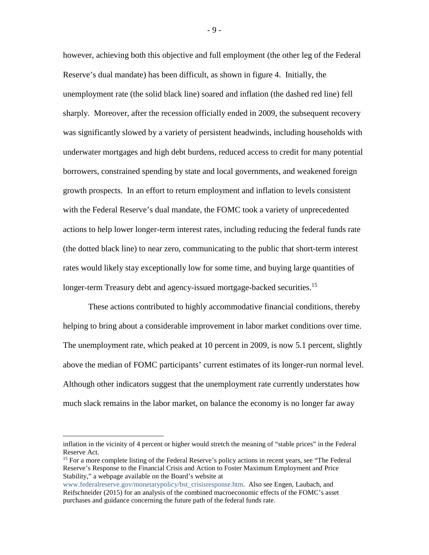however, achieving both this objective and full employment (the other leg of the Federal Reserve's dual mandate) has been difficult, as shown in figure 4. Initially, the unemployment rate (the solid black line) soared and inflation (the dashed red line) fell sharply. Moreover, after the recession officially ended in 2009, the subsequent recovery was significantly slowed by a variety of persistent headwinds, including households with underwater mortgages and high debt burdens, reduced access to credit for many potential borrowers, constrained spending by state and local governments, and weakened foreign growth prospects. In an effort to return employment and inflation to levels consistent with the Federal Reserve's dual mandate, the FOMC took a variety of unprecedented actions to help lower longer-term interest rates, including reducing the federal funds rate (the dotted black line) to near zero, communicating to the public that short-term interest rates would likely stay exceptionally low for some time, and buying large quantities of longer-term Treasury debt and agency-issued mortgage-backed securities.<sup>15</sup>

These actions contributed to highly accommodative financial conditions, thereby helping to bring about a considerable improvement in labor market conditions over time. The unemployment rate, which peaked at 10 percent in 2009, is now 5.1 percent, slightly above the median of FOMC participants' current estimates of its longer-run normal level. Although other indicators suggest that the unemployment rate currently understates how much slack remains in the labor market, on balance the economy is no longer far away

 $\overline{a}$ 

inflation in the vicinity of 4 percent or higher would stretch the meaning of "stable prices" in the Federal Reserve Act.

<sup>&</sup>lt;sup>15</sup> For a more complete listing of the Federal Reserve's policy actions in recent years, see "The Federal" Reserve's Response to the Financial Crisis and Action to Foster Maximum Employment and Price Stability," a webpage available on the Board's website at

www.federalreserve.gov/monetarypolicy/bst\_crisisresponse.htm. Also see Engen, Laubach, and Reifschneider (2015) for an analysis of the combined macroeconomic effects of the FOMC's asset purchases and guidance concerning the future path of the federal funds rate.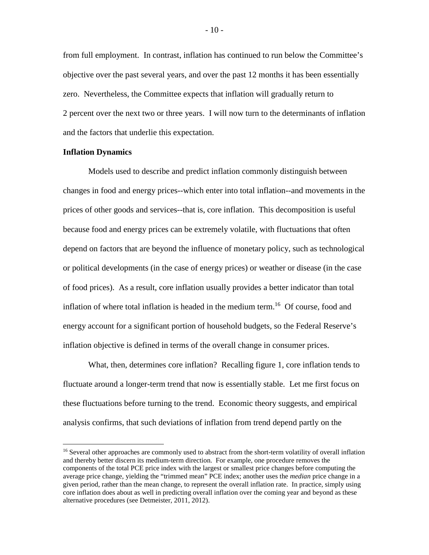from full employment. In contrast, inflation has continued to run below the Committee's objective over the past several years, and over the past 12 months it has been essentially zero. Nevertheless, the Committee expects that inflation will gradually return to 2 percent over the next two or three years. I will now turn to the determinants of inflation and the factors that underlie this expectation.

#### **Inflation Dynamics**

Models used to describe and predict inflation commonly distinguish between changes in food and energy prices--which enter into total inflation--and movements in the prices of other goods and services--that is, core inflation. This decomposition is useful because food and energy prices can be extremely volatile, with fluctuations that often depend on factors that are beyond the influence of monetary policy, such as technological or political developments (in the case of energy prices) or weather or disease (in the case of food prices). As a result, core inflation usually provides a better indicator than total inflation of where total inflation is headed in the medium term.<sup>16</sup> Of course, food and energy account for a significant portion of household budgets, so the Federal Reserve's inflation objective is defined in terms of the overall change in consumer prices.

What, then, determines core inflation? Recalling figure 1, core inflation tends to fluctuate around a longer-term trend that now is essentially stable. Let me first focus on these fluctuations before turning to the trend. Economic theory suggests, and empirical analysis confirms, that such deviations of inflation from trend depend partly on the

<sup>&</sup>lt;sup>16</sup> Several other approaches are commonly used to abstract from the short-term volatility of overall inflation and thereby better discern its medium-term direction. For example, one procedure removes the components of the total PCE price index with the largest or smallest price changes before computing the average price change, yielding the "trimmed mean" PCE index; another uses the *median* price change in a given period, rather than the mean change, to represent the overall inflation rate. In practice, simply using core inflation does about as well in predicting overall inflation over the coming year and beyond as these alternative procedures (see Detmeister, 2011, 2012).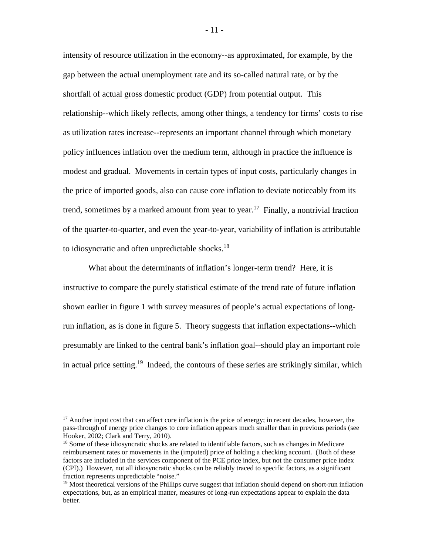intensity of resource utilization in the economy--as approximated, for example, by the gap between the actual unemployment rate and its so-called natural rate, or by the shortfall of actual gross domestic product (GDP) from potential output. This relationship--which likely reflects, among other things, a tendency for firms' costs to rise as utilization rates increase--represents an important channel through which monetary policy influences inflation over the medium term, although in practice the influence is modest and gradual. Movements in certain types of input costs, particularly changes in the price of imported goods, also can cause core inflation to deviate noticeably from its trend, sometimes by a marked amount from year to year.<sup>17</sup> Finally, a nontrivial fraction of the quarter-to-quarter, and even the year-to-year, variability of inflation is attributable to idiosyncratic and often unpredictable shocks.<sup>18</sup>

What about the determinants of inflation's longer-term trend? Here, it is instructive to compare the purely statistical estimate of the trend rate of future inflation shown earlier in figure 1 with survey measures of people's actual expectations of longrun inflation, as is done in figure 5. Theory suggests that inflation expectations--which presumably are linked to the central bank's inflation goal--should play an important role in actual price setting.<sup>19</sup> Indeed, the contours of these series are strikingly similar, which

 $17$  Another input cost that can affect core inflation is the price of energy; in recent decades, however, the pass-through of energy price changes to core inflation appears much smaller than in previous periods (see Hooker, 2002; Clark and Terry, 2010).

<sup>&</sup>lt;sup>18</sup> Some of these idiosyncratic shocks are related to identifiable factors, such as changes in Medicare reimbursement rates or movements in the (imputed) price of holding a checking account. (Both of these factors are included in the services component of the PCE price index, but not the consumer price index (CPI).) However, not all idiosyncratic shocks can be reliably traced to specific factors, as a significant fraction represents unpredictable "noise."

<sup>&</sup>lt;sup>19</sup> Most theoretical versions of the Phillips curve suggest that inflation should depend on short-run inflation expectations, but, as an empirical matter, measures of long-run expectations appear to explain the data better.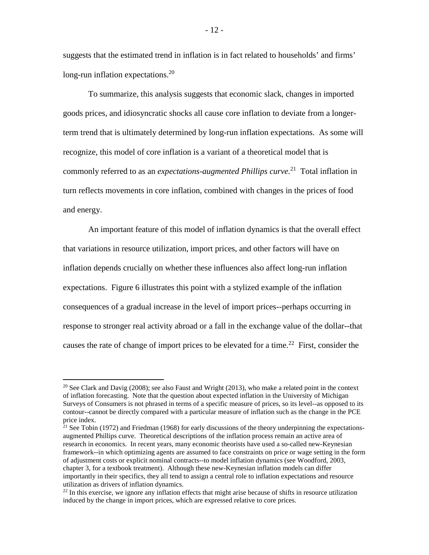suggests that the estimated trend in inflation is in fact related to households' and firms' long-run inflation expectations. $^{20}$ 

To summarize, this analysis suggests that economic slack, changes in imported goods prices, and idiosyncratic shocks all cause core inflation to deviate from a longerterm trend that is ultimately determined by long-run inflation expectations. As some will recognize, this model of core inflation is a variant of a theoretical model that is commonly referred to as an *expectations-augmented Phillips curve.* 21 Total inflation in turn reflects movements in core inflation, combined with changes in the prices of food and energy.

An important feature of this model of inflation dynamics is that the overall effect that variations in resource utilization, import prices, and other factors will have on inflation depends crucially on whether these influences also affect long-run inflation expectations. Figure 6 illustrates this point with a stylized example of the inflation consequences of a gradual increase in the level of import prices--perhaps occurring in response to stronger real activity abroad or a fall in the exchange value of the dollar--that causes the rate of change of import prices to be elevated for a time.<sup>22</sup> First, consider the

<sup>&</sup>lt;sup>20</sup> See Clark and Davig (2008); see also Faust and Wright (2013), who make a related point in the context of inflation forecasting. Note that the question about expected inflation in the University of Michigan Surveys of Consumers is not phrased in terms of a specific measure of prices, so its level--as opposed to its contour--cannot be directly compared with a particular measure of inflation such as the change in the PCE price index.

 $21$  See Tobin (1972) and Friedman (1968) for early discussions of the theory underpinning the expectationsaugmented Phillips curve. Theoretical descriptions of the inflation process remain an active area of research in economics. In recent years, many economic theorists have used a so-called new-Keynesian framework--in which optimizing agents are assumed to face constraints on price or wage setting in the form of adjustment costs or explicit nominal contracts--to model inflation dynamics (see Woodford, 2003, chapter 3, for a textbook treatment). Although these new-Keynesian inflation models can differ importantly in their specifics, they all tend to assign a central role to inflation expectations and resource utilization as drivers of inflation dynamics.

 $^{22}$  In this exercise, we ignore any inflation effects that might arise because of shifts in resource utilization induced by the change in import prices, which are expressed relative to core prices.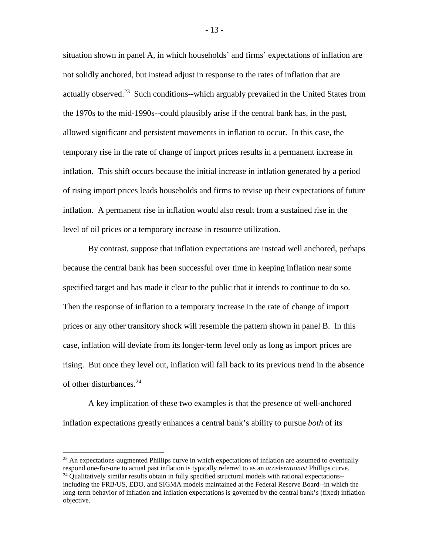situation shown in panel A, in which households' and firms' expectations of inflation are not solidly anchored, but instead adjust in response to the rates of inflation that are actually observed.<sup>23</sup> Such conditions--which arguably prevailed in the United States from the 1970s to the mid-1990s--could plausibly arise if the central bank has, in the past, allowed significant and persistent movements in inflation to occur. In this case, the temporary rise in the rate of change of import prices results in a permanent increase in inflation. This shift occurs because the initial increase in inflation generated by a period of rising import prices leads households and firms to revise up their expectations of future inflation. A permanent rise in inflation would also result from a sustained rise in the level of oil prices or a temporary increase in resource utilization.

By contrast, suppose that inflation expectations are instead well anchored, perhaps because the central bank has been successful over time in keeping inflation near some specified target and has made it clear to the public that it intends to continue to do so. Then the response of inflation to a temporary increase in the rate of change of import prices or any other transitory shock will resemble the pattern shown in panel B. In this case, inflation will deviate from its longer-term level only as long as import prices are rising. But once they level out, inflation will fall back to its previous trend in the absence of other disturbances.24

A key implication of these two examples is that the presence of well-anchored inflation expectations greatly enhances a central bank's ability to pursue *both* of its

 $^{23}$  An expectations-augmented Phillips curve in which expectations of inflation are assumed to eventually respond one-for-one to actual past inflation is typically referred to as an *accelerationist* Phillips curve.

 $24$  Qualitatively similar results obtain in fully specified structural models with rational expectations-including the FRB/US, EDO, and SIGMA models maintained at the Federal Reserve Board--in which the long-term behavior of inflation and inflation expectations is governed by the central bank's (fixed) inflation objective.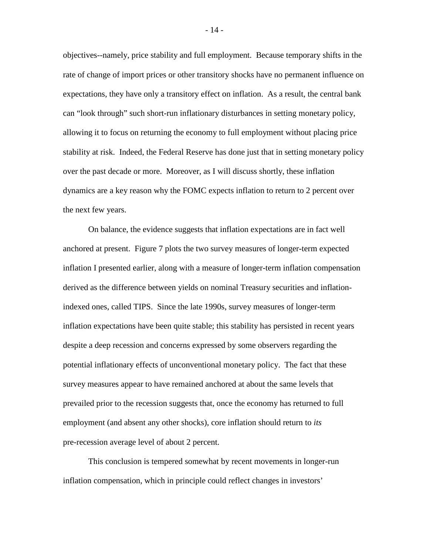objectives--namely, price stability and full employment. Because temporary shifts in the rate of change of import prices or other transitory shocks have no permanent influence on expectations, they have only a transitory effect on inflation. As a result, the central bank can "look through" such short-run inflationary disturbances in setting monetary policy, allowing it to focus on returning the economy to full employment without placing price stability at risk. Indeed, the Federal Reserve has done just that in setting monetary policy over the past decade or more. Moreover, as I will discuss shortly, these inflation dynamics are a key reason why the FOMC expects inflation to return to 2 percent over the next few years.

On balance, the evidence suggests that inflation expectations are in fact well anchored at present. Figure 7 plots the two survey measures of longer-term expected inflation I presented earlier, along with a measure of longer-term inflation compensation derived as the difference between yields on nominal Treasury securities and inflationindexed ones, called TIPS. Since the late 1990s, survey measures of longer-term inflation expectations have been quite stable; this stability has persisted in recent years despite a deep recession and concerns expressed by some observers regarding the potential inflationary effects of unconventional monetary policy. The fact that these survey measures appear to have remained anchored at about the same levels that prevailed prior to the recession suggests that, once the economy has returned to full employment (and absent any other shocks), core inflation should return to *its* pre-recession average level of about 2 percent.

This conclusion is tempered somewhat by recent movements in longer-run inflation compensation, which in principle could reflect changes in investors'

- 14 -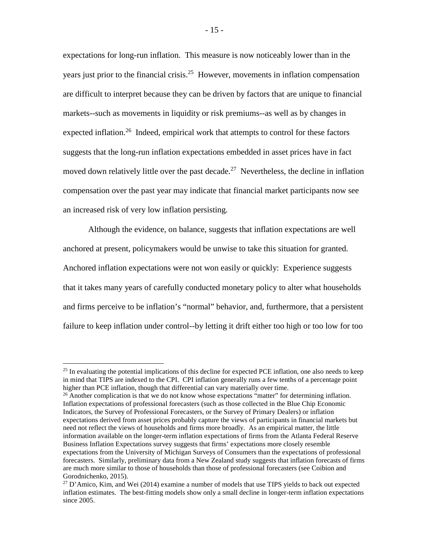expectations for long-run inflation. This measure is now noticeably lower than in the years just prior to the financial crisis.<sup>25</sup> However, movements in inflation compensation are difficult to interpret because they can be driven by factors that are unique to financial markets--such as movements in liquidity or risk premiums--as well as by changes in expected inflation.<sup>26</sup> Indeed, empirical work that attempts to control for these factors suggests that the long-run inflation expectations embedded in asset prices have in fact moved down relatively little over the past decade.<sup>27</sup> Nevertheless, the decline in inflation compensation over the past year may indicate that financial market participants now see an increased risk of very low inflation persisting.

Although the evidence, on balance, suggests that inflation expectations are well anchored at present, policymakers would be unwise to take this situation for granted. Anchored inflation expectations were not won easily or quickly: Experience suggests that it takes many years of carefully conducted monetary policy to alter what households and firms perceive to be inflation's "normal" behavior, and, furthermore, that a persistent failure to keep inflation under control--by letting it drift either too high or too low for too

 $^{25}$  In evaluating the potential implications of this decline for expected PCE inflation, one also needs to keep in mind that TIPS are indexed to the CPI. CPI inflation generally runs a few tenths of a percentage point higher than PCE inflation, though that differential can vary materially over time.

<sup>&</sup>lt;sup>26</sup> Another complication is that we do not know whose expectations "matter" for determining inflation. Inflation expectations of professional forecasters (such as those collected in the Blue Chip Economic Indicators, the Survey of Professional Forecasters, or the Survey of Primary Dealers) or inflation expectations derived from asset prices probably capture the views of participants in financial markets but need not reflect the views of households and firms more broadly. As an empirical matter, the little information available on the longer-term inflation expectations of firms from the Atlanta Federal Reserve Business Inflation Expectations survey suggests that firms' expectations more closely resemble expectations from the University of Michigan Surveys of Consumers than the expectations of professional forecasters. Similarly, preliminary data from a New Zealand study suggests that inflation forecasts of firms are much more similar to those of households than those of professional forecasters (see Coibion and Gorodnichenko, 2015).

<sup>&</sup>lt;sup>27</sup> D'Amico, Kim, and Wei (2014) examine a number of models that use TIPS yields to back out expected inflation estimates. The best-fitting models show only a small decline in longer-term inflation expectations since 2005.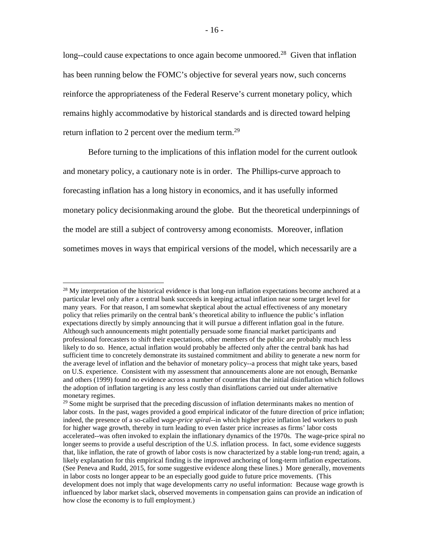long--could cause expectations to once again become unmoored.<sup>28</sup> Given that inflation has been running below the FOMC's objective for several years now, such concerns reinforce the appropriateness of the Federal Reserve's current monetary policy, which remains highly accommodative by historical standards and is directed toward helping return inflation to 2 percent over the medium term.<sup>29</sup>

Before turning to the implications of this inflation model for the current outlook and monetary policy, a cautionary note is in order. The Phillips-curve approach to forecasting inflation has a long history in economics, and it has usefully informed monetary policy decisionmaking around the globe. But the theoretical underpinnings of the model are still a subject of controversy among economists. Moreover, inflation sometimes moves in ways that empirical versions of the model, which necessarily are a

<sup>&</sup>lt;sup>28</sup> My interpretation of the historical evidence is that long-run inflation expectations become anchored at a particular level only after a central bank succeeds in keeping actual inflation near some target level for many years. For that reason, I am somewhat skeptical about the actual effectiveness of any monetary policy that relies primarily on the central bank's theoretical ability to influence the public's inflation expectations directly by simply announcing that it will pursue a different inflation goal in the future. Although such announcements might potentially persuade some financial market participants and professional forecasters to shift their expectations, other members of the public are probably much less likely to do so. Hence, actual inflation would probably be affected only after the central bank has had sufficient time to concretely demonstrate its sustained commitment and ability to generate a new norm for the average level of inflation and the behavior of monetary policy--a process that might take years, based on U.S. experience. Consistent with my assessment that announcements alone are not enough, Bernanke and others (1999) found no evidence across a number of countries that the initial disinflation which follows the adoption of inflation targeting is any less costly than disinflations carried out under alternative monetary regimes.

 $29$  Some might be surprised that the preceding discussion of inflation determinants makes no mention of labor costs. In the past, wages provided a good empirical indicator of the future direction of price inflation; indeed, the presence of a so-called *wage-price spiral*--in which higher price inflation led workers to push for higher wage growth, thereby in turn leading to even faster price increases as firms' labor costs accelerated--was often invoked to explain the inflationary dynamics of the 1970s. The wage-price spiral no longer seems to provide a useful description of the U.S. inflation process. In fact, some evidence suggests that, like inflation, the rate of growth of labor costs is now characterized by a stable long-run trend; again, a likely explanation for this empirical finding is the improved anchoring of long-term inflation expectations. (See Peneva and Rudd, 2015, for some suggestive evidence along these lines.) More generally, movements in labor costs no longer appear to be an especially good guide to future price movements. (This development does not imply that wage developments carry *no* useful information: Because wage growth is influenced by labor market slack, observed movements in compensation gains can provide an indication of how close the economy is to full employment.)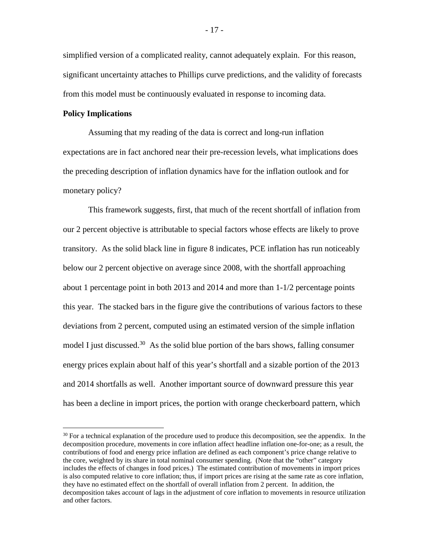simplified version of a complicated reality, cannot adequately explain. For this reason, significant uncertainty attaches to Phillips curve predictions, and the validity of forecasts from this model must be continuously evaluated in response to incoming data.

### **Policy Implications**

Assuming that my reading of the data is correct and long-run inflation expectations are in fact anchored near their pre-recession levels, what implications does the preceding description of inflation dynamics have for the inflation outlook and for monetary policy?

This framework suggests, first, that much of the recent shortfall of inflation from our 2 percent objective is attributable to special factors whose effects are likely to prove transitory. As the solid black line in figure 8 indicates, PCE inflation has run noticeably below our 2 percent objective on average since 2008, with the shortfall approaching about 1 percentage point in both 2013 and 2014 and more than 1-1/2 percentage points this year. The stacked bars in the figure give the contributions of various factors to these deviations from 2 percent, computed using an estimated version of the simple inflation model I just discussed.<sup>30</sup> As the solid blue portion of the bars shows, falling consumer energy prices explain about half of this year's shortfall and a sizable portion of the 2013 and 2014 shortfalls as well. Another important source of downward pressure this year has been a decline in import prices, the portion with orange checkerboard pattern, which

<sup>&</sup>lt;sup>30</sup> For a technical explanation of the procedure used to produce this decomposition, see the appendix. In the decomposition procedure, movements in core inflation affect headline inflation one-for-one; as a result, the contributions of food and energy price inflation are defined as each component's price change relative to the core, weighted by its share in total nominal consumer spending. (Note that the "other" category includes the effects of changes in food prices.) The estimated contribution of movements in import prices is also computed relative to core inflation; thus, if import prices are rising at the same rate as core inflation, they have no estimated effect on the shortfall of overall inflation from 2 percent. In addition, the decomposition takes account of lags in the adjustment of core inflation to movements in resource utilization and other factors.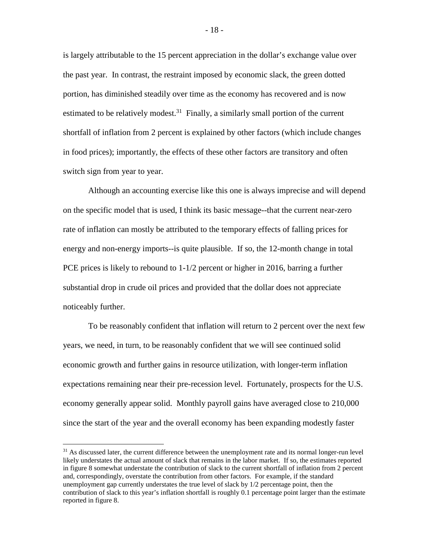is largely attributable to the 15 percent appreciation in the dollar's exchange value over the past year. In contrast, the restraint imposed by economic slack, the green dotted portion, has diminished steadily over time as the economy has recovered and is now estimated to be relatively modest.<sup>31</sup> Finally, a similarly small portion of the current shortfall of inflation from 2 percent is explained by other factors (which include changes in food prices); importantly, the effects of these other factors are transitory and often switch sign from year to year.

Although an accounting exercise like this one is always imprecise and will depend on the specific model that is used, I think its basic message--that the current near-zero rate of inflation can mostly be attributed to the temporary effects of falling prices for energy and non-energy imports--is quite plausible. If so, the 12-month change in total PCE prices is likely to rebound to 1-1/2 percent or higher in 2016, barring a further substantial drop in crude oil prices and provided that the dollar does not appreciate noticeably further.

To be reasonably confident that inflation will return to 2 percent over the next few years, we need, in turn, to be reasonably confident that we will see continued solid economic growth and further gains in resource utilization, with longer-term inflation expectations remaining near their pre-recession level. Fortunately, prospects for the U.S. economy generally appear solid. Monthly payroll gains have averaged close to 210,000 since the start of the year and the overall economy has been expanding modestly faster

 $31$  As discussed later, the current difference between the unemployment rate and its normal longer-run level likely understates the actual amount of slack that remains in the labor market. If so, the estimates reported in figure 8 somewhat understate the contribution of slack to the current shortfall of inflation from 2 percent and, correspondingly, overstate the contribution from other factors. For example, if the standard unemployment gap currently understates the true level of slack by 1/2 percentage point, then the contribution of slack to this year's inflation shortfall is roughly 0.1 percentage point larger than the estimate reported in figure 8.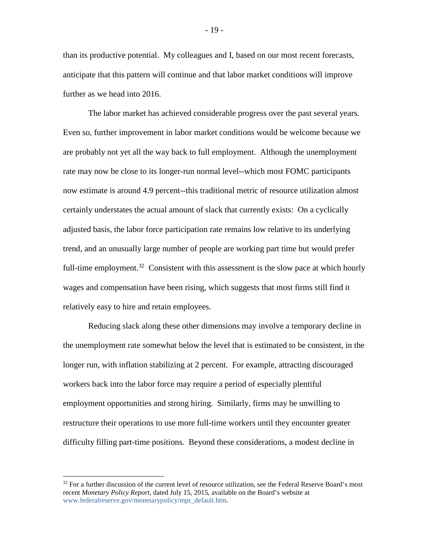than its productive potential. My colleagues and I, based on our most recent forecasts, anticipate that this pattern will continue and that labor market conditions will improve further as we head into 2016.

The labor market has achieved considerable progress over the past several years. Even so, further improvement in labor market conditions would be welcome because we are probably not yet all the way back to full employment. Although the unemployment rate may now be close to its longer-run normal level--which most FOMC participants now estimate is around 4.9 percent--this traditional metric of resource utilization almost certainly understates the actual amount of slack that currently exists: On a cyclically adjusted basis, the labor force participation rate remains low relative to its underlying trend, and an unusually large number of people are working part time but would prefer full-time employment.<sup>32</sup> Consistent with this assessment is the slow pace at which hourly wages and compensation have been rising, which suggests that most firms still find it relatively easy to hire and retain employees.

Reducing slack along these other dimensions may involve a temporary decline in the unemployment rate somewhat below the level that is estimated to be consistent, in the longer run, with inflation stabilizing at 2 percent. For example, attracting discouraged workers back into the labor force may require a period of especially plentiful employment opportunities and strong hiring. Similarly, firms may be unwilling to restructure their operations to use more full-time workers until they encounter greater difficulty filling part-time positions. Beyond these considerations, a modest decline in

- 19 -

 $32$  For a further discussion of the current level of resource utilization, see the Federal Reserve Board's most recent *Monetary Policy Report,* dated July 15, 2015, available on the Board's website at [www.federalreserve.gov/monetarypolicy/mpr\\_default.htm.](http://www.federalreserve.gov/monetarypolicy/mpr_default.htm)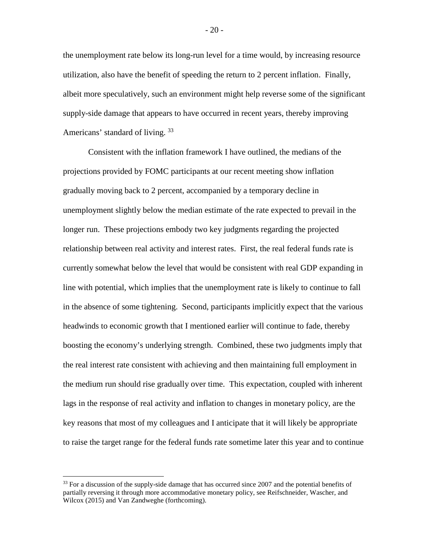the unemployment rate below its long-run level for a time would, by increasing resource utilization, also have the benefit of speeding the return to 2 percent inflation. Finally, albeit more speculatively, such an environment might help reverse some of the significant supply-side damage that appears to have occurred in recent years, thereby improving Americans' standard of living. 33

Consistent with the inflation framework I have outlined, the medians of the projections provided by FOMC participants at our recent meeting show inflation gradually moving back to 2 percent, accompanied by a temporary decline in unemployment slightly below the median estimate of the rate expected to prevail in the longer run. These projections embody two key judgments regarding the projected relationship between real activity and interest rates. First, the real federal funds rate is currently somewhat below the level that would be consistent with real GDP expanding in line with potential, which implies that the unemployment rate is likely to continue to fall in the absence of some tightening. Second, participants implicitly expect that the various headwinds to economic growth that I mentioned earlier will continue to fade, thereby boosting the economy's underlying strength. Combined, these two judgments imply that the real interest rate consistent with achieving and then maintaining full employment in the medium run should rise gradually over time. This expectation, coupled with inherent lags in the response of real activity and inflation to changes in monetary policy, are the key reasons that most of my colleagues and I anticipate that it will likely be appropriate to raise the target range for the federal funds rate sometime later this year and to continue

 $33$  For a discussion of the supply-side damage that has occurred since 2007 and the potential benefits of partially reversing it through more accommodative monetary policy, see Reifschneider, Wascher, and Wilcox (2015) and Van Zandweghe (forthcoming).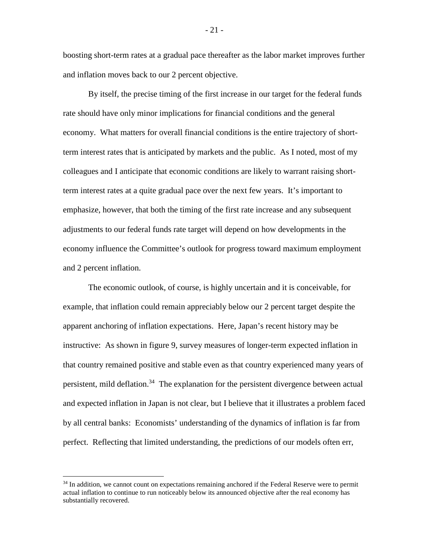boosting short-term rates at a gradual pace thereafter as the labor market improves further and inflation moves back to our 2 percent objective.

By itself, the precise timing of the first increase in our target for the federal funds rate should have only minor implications for financial conditions and the general economy. What matters for overall financial conditions is the entire trajectory of shortterm interest rates that is anticipated by markets and the public. As I noted, most of my colleagues and I anticipate that economic conditions are likely to warrant raising shortterm interest rates at a quite gradual pace over the next few years. It's important to emphasize, however, that both the timing of the first rate increase and any subsequent adjustments to our federal funds rate target will depend on how developments in the economy influence the Committee's outlook for progress toward maximum employment and 2 percent inflation.

The economic outlook, of course, is highly uncertain and it is conceivable, for example, that inflation could remain appreciably below our 2 percent target despite the apparent anchoring of inflation expectations. Here, Japan's recent history may be instructive: As shown in figure 9, survey measures of longer-term expected inflation in that country remained positive and stable even as that country experienced many years of persistent, mild deflation.<sup>34</sup> The explanation for the persistent divergence between actual and expected inflation in Japan is not clear, but I believe that it illustrates a problem faced by all central banks: Economists' understanding of the dynamics of inflation is far from perfect. Reflecting that limited understanding, the predictions of our models often err,

- 21 -

<sup>&</sup>lt;sup>34</sup> In addition, we cannot count on expectations remaining anchored if the Federal Reserve were to permit actual inflation to continue to run noticeably below its announced objective after the real economy has substantially recovered.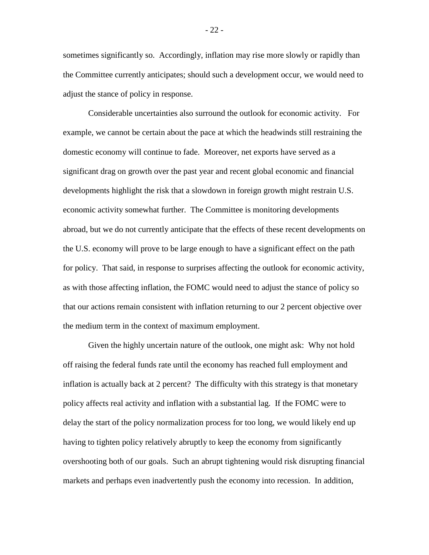sometimes significantly so. Accordingly, inflation may rise more slowly or rapidly than the Committee currently anticipates; should such a development occur, we would need to adjust the stance of policy in response.

Considerable uncertainties also surround the outlook for economic activity. For example, we cannot be certain about the pace at which the headwinds still restraining the domestic economy will continue to fade. Moreover, net exports have served as a significant drag on growth over the past year and recent global economic and financial developments highlight the risk that a slowdown in foreign growth might restrain U.S. economic activity somewhat further. The Committee is monitoring developments abroad, but we do not currently anticipate that the effects of these recent developments on the U.S. economy will prove to be large enough to have a significant effect on the path for policy. That said, in response to surprises affecting the outlook for economic activity, as with those affecting inflation, the FOMC would need to adjust the stance of policy so that our actions remain consistent with inflation returning to our 2 percent objective over the medium term in the context of maximum employment.

Given the highly uncertain nature of the outlook, one might ask: Why not hold off raising the federal funds rate until the economy has reached full employment and inflation is actually back at 2 percent? The difficulty with this strategy is that monetary policy affects real activity and inflation with a substantial lag. If the FOMC were to delay the start of the policy normalization process for too long, we would likely end up having to tighten policy relatively abruptly to keep the economy from significantly overshooting both of our goals. Such an abrupt tightening would risk disrupting financial markets and perhaps even inadvertently push the economy into recession. In addition,

- 22 -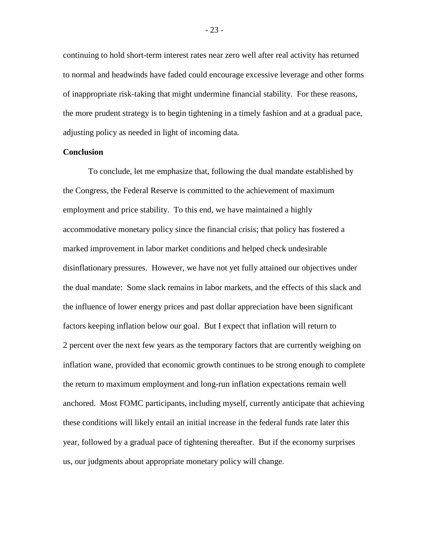continuing to hold short-term interest rates near zero well after real activity has returned to normal and headwinds have faded could encourage excessive leverage and other forms of inappropriate risk-taking that might undermine financial stability. For these reasons, the more prudent strategy is to begin tightening in a timely fashion and at a gradual pace, adjusting policy as needed in light of incoming data.

#### **Conclusion**

To conclude, let me emphasize that, following the dual mandate established by the Congress, the Federal Reserve is committed to the achievement of maximum employment and price stability. To this end, we have maintained a highly accommodative monetary policy since the financial crisis; that policy has fostered a marked improvement in labor market conditions and helped check undesirable disinflationary pressures. However, we have not yet fully attained our objectives under the dual mandate: Some slack remains in labor markets, and the effects of this slack and the influence of lower energy prices and past dollar appreciation have been significant factors keeping inflation below our goal. But I expect that inflation will return to 2 percent over the next few years as the temporary factors that are currently weighing on inflation wane, provided that economic growth continues to be strong enough to complete the return to maximum employment and long-run inflation expectations remain well anchored. Most FOMC participants, including myself, currently anticipate that achieving these conditions will likely entail an initial increase in the federal funds rate later this year, followed by a gradual pace of tightening thereafter. But if the economy surprises us, our judgments about appropriate monetary policy will change.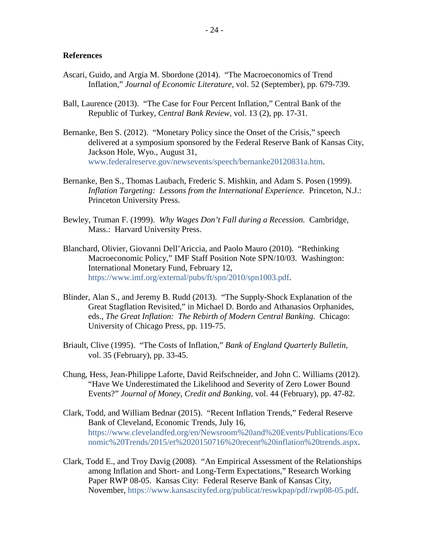- Ascari, Guido, and Argia M. Sbordone (2014). "The Macroeconomics of Trend Inflation," *Journal of Economic Literature,* vol. 52 (September), pp. 679-739.
- Ball, Laurence (2013). "The Case for Four Percent Inflation," Central Bank of the Republic of Turkey, *Central Bank Review,* vol. 13 (2), pp. 17-31.
- Bernanke, Ben S. (2012). "Monetary Policy since the Onset of the Crisis," speech delivered at a symposium sponsored by the Federal Reserve Bank of Kansas City, Jackson Hole, Wyo., August 31, [www.federalreserve.gov/newsevents/speech/bernanke20120831a.htm.](http://www.federalreserve.gov/newsevents/speech/bernanke20120831a.htm)
- Bernanke, Ben S., Thomas Laubach, Frederic S. Mishkin, and Adam S. Posen (1999). *Inflation Targeting: Lessons from the International Experience.* Princeton, N.J.: Princeton University Press.
- Bewley, Truman F. (1999). *Why Wages Don't Fall during a Recession.* Cambridge, Mass.: Harvard University Press.
- Blanchard, Olivier, Giovanni Dell'Ariccia, and Paolo Mauro (2010). "Rethinking Macroeconomic Policy," IMF Staff Position Note SPN/10/03. Washington: International Monetary Fund, February 12, [https://www.imf.org/external/pubs/ft/spn/2010/spn1003.pdf.](https://www.imf.org/external/pubs/ft/spn/2010/spn1003.pdf)
- Blinder, Alan S., and Jeremy B. Rudd (2013). "The Supply-Shock Explanation of the Great Stagflation Revisited," in Michael D. Bordo and Athanasios Orphanides, eds., *The Great Inflation: The Rebirth of Modern Central Banking.* Chicago: University of Chicago Press, pp. 119-75.
- Briault, Clive (1995). "The Costs of Inflation," *Bank of England Quarterly Bulletin,* vol. 35 (February), pp. 33-45.
- Chung, Hess, Jean-Philippe Laforte, David Reifschneider, and John C. Williams (2012). "Have We Underestimated the Likelihood and Severity of Zero Lower Bound Events?" *Journal of Money, Credit and Banking,* vol. 44 (February), pp. 47-82.
- Clark, Todd, and William Bednar (2015). "Recent Inflation Trends," Federal Reserve Bank of Cleveland, Economic Trends, July 16, [https://www.clevelandfed.org/en/Newsroom%20and%20Events/Publications/Eco](https://www.clevelandfed.org/en/Newsroom%20and%20Events/Publications/Economic%20Trends/2015/et%2020150716%20recent%20inflation%20trends.aspx) [nomic%20Trends/2015/et%2020150716%20recent%20inflation%20trends.aspx.](https://www.clevelandfed.org/en/Newsroom%20and%20Events/Publications/Economic%20Trends/2015/et%2020150716%20recent%20inflation%20trends.aspx)
- Clark, Todd E., and Troy Davig (2008). "An Empirical Assessment of the Relationships among Inflation and Short- and Long-Term Expectations," Research Working Paper RWP 08-05. Kansas City: Federal Reserve Bank of Kansas City, November, [https://www.kansascityfed.org/publicat/reswkpap/pdf/rwp08-05.pdf.](https://www.kansascityfed.org/publicat/reswkpap/pdf/rwp08-05.pdf)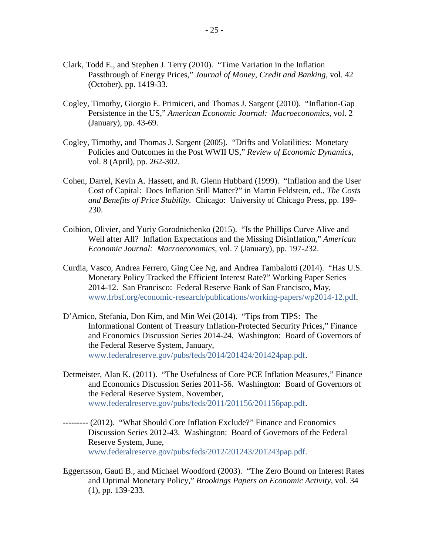- Clark, Todd E., and Stephen J. Terry (2010). "Time Variation in the Inflation Passthrough of Energy Prices," *Journal of Money, Credit and Banking,* vol. 42 (October), pp. 1419-33.
- Cogley, Timothy, Giorgio E. Primiceri, and Thomas J. Sargent (2010). "Inflation-Gap Persistence in the US," *American Economic Journal: Macroeconomics,* vol. 2 (January), pp. 43-69.
- Cogley, Timothy, and Thomas J. Sargent (2005). "Drifts and Volatilities: Monetary Policies and Outcomes in the Post WWII US," *Review of Economic Dynamics,* vol. 8 (April), pp. 262-302.
- Cohen, Darrel, Kevin A. Hassett, and R. Glenn Hubbard (1999). "Inflation and the User Cost of Capital: Does Inflation Still Matter?" in Martin Feldstein, ed., *The Costs and Benefits of Price Stability.* Chicago: University of Chicago Press, pp. 199- 230.
- Coibion, Olivier, and Yuriy Gorodnichenko (2015). "Is the Phillips Curve Alive and Well after All? Inflation Expectations and the Missing Disinflation," *American Economic Journal: Macroeconomics,* vol. 7 (January), pp. 197-232.
- Curdia, Vasco, Andrea Ferrero, Ging Cee Ng, and Andrea Tambalotti (2014). "Has U.S. Monetary Policy Tracked the Efficient Interest Rate?" Working Paper Series 2014-12. San Francisco: Federal Reserve Bank of San Francisco, May, [www.frbsf.org/economic-research/publications/working-papers/wp2014-12.pdf.](http://www.frbsf.org/economic-research/publications/working-papers/wp2014-12.pdf)
- D'Amico, Stefania, Don Kim, and Min Wei (2014). "Tips from TIPS: The Informational Content of Treasury Inflation-Protected Security Prices," Finance and Economics Discussion Series 2014-24. Washington: Board of Governors of the Federal Reserve System, January, [www.federalreserve.gov/pubs/feds/2014/201424/201424pap.pdf.](http://www.federalreserve.gov/pubs/feds/2014/201424/201424pap.pdf)
- Detmeister, Alan K. (2011). "The Usefulness of Core PCE Inflation Measures," Finance and Economics Discussion Series 2011-56. Washington: Board of Governors of the Federal Reserve System, November, [www.federalreserve.gov/pubs/feds/2011/201156/201156pap.pdf.](http://www.federalreserve.gov/pubs/feds/2011/201156/201156pap.pdf)
- --------- (2012). "What Should Core Inflation Exclude?" Finance and Economics Discussion Series 2012-43. Washington: Board of Governors of the Federal Reserve System, June, [www.federalreserve.gov/pubs/feds/2012/201243/201243pap.pdf.](http://www.federalreserve.gov/pubs/feds/2012/201243/201243pap.pdf)
- Eggertsson, Gauti B., and Michael Woodford (2003). "The Zero Bound on Interest Rates and Optimal Monetary Policy," *Brookings Papers on Economic Activity,* vol. 34 (1), pp. 139-233.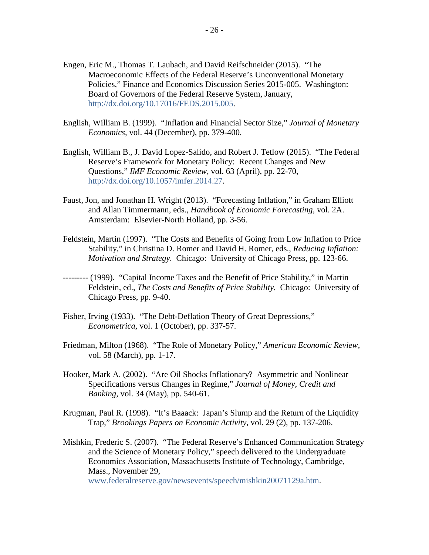- Engen, Eric M., Thomas T. Laubach, and David Reifschneider (2015). "The Macroeconomic Effects of the Federal Reserve's Unconventional Monetary Policies," Finance and Economics Discussion Series 2015-005. Washington: Board of Governors of the Federal Reserve System, January, [http://dx.doi.org/10.17016/FEDS.2015.005.](http://dx.doi.org/10.17016/FEDS.2015.005)
- English, William B. (1999). "Inflation and Financial Sector Size," *Journal of Monetary Economics,* vol. 44 (December), pp. 379-400.
- English, William B., J. David Lopez-Salido, and Robert J. Tetlow (2015). "The Federal Reserve's Framework for Monetary Policy: Recent Changes and New Questions," *IMF Economic Review,* vol. 63 (April), pp. 22-70, [http://dx.doi.org/10.1057/imfer.2014.27.](http://dx.doi.org/10.1057/imfer.2014.27)
- Faust, Jon, and Jonathan H. Wright (2013). "Forecasting Inflation," in Graham Elliott and Allan Timmermann, eds., *Handbook of Economic Forecasting,* vol. 2A. Amsterdam: Elsevier-North Holland, pp. 3-56.
- Feldstein, Martin (1997). "The Costs and Benefits of Going from Low Inflation to Price Stability," in Christina D. Romer and David H. Romer, eds., *Reducing Inflation: Motivation and Strategy.* Chicago: University of Chicago Press, pp. 123-66.
- --------- (1999). "Capital Income Taxes and the Benefit of Price Stability," in Martin Feldstein, ed., *The Costs and Benefits of Price Stability.* Chicago: University of Chicago Press, pp. 9-40.
- Fisher, Irving (1933). "The Debt-Deflation Theory of Great Depressions," *Econometrica,* vol. 1 (October), pp. 337-57.
- Friedman, Milton (1968). "The Role of Monetary Policy," *American Economic Review,* vol. 58 (March), pp. 1-17.
- Hooker, Mark A. (2002). "Are Oil Shocks Inflationary? Asymmetric and Nonlinear Specifications versus Changes in Regime," *Journal of Money, Credit and Banking,* vol. 34 (May), pp. 540-61.
- Krugman, Paul R. (1998). "It's Baaack: Japan's Slump and the Return of the Liquidity Trap," *Brookings Papers on Economic Activity,* vol. 29 (2), pp. 137-206.
- Mishkin, Frederic S. (2007). "The Federal Reserve's Enhanced Communication Strategy and the Science of Monetary Policy," speech delivered to the Undergraduate Economics Association, Massachusetts Institute of Technology, Cambridge, Mass., November 29,

[www.federalreserve.gov/newsevents/speech/mishkin20071129a.htm.](http://www.federalreserve.gov/newsevents/speech/mishkin20071129a.htm)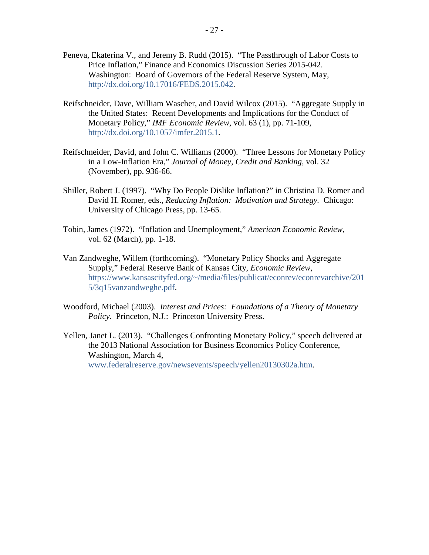- Peneva, Ekaterina V., and Jeremy B. Rudd (2015). "The Passthrough of Labor Costs to Price Inflation," Finance and Economics Discussion Series 2015-042. Washington: Board of Governors of the Federal Reserve System, May, [http://dx.doi.org/10.17016/FEDS.2015.042.](http://dx.doi.org/10.17016/FEDS.2015.042)
- Reifschneider, Dave, William Wascher, and David Wilcox (2015). "Aggregate Supply in the United States: Recent Developments and Implications for the Conduct of Monetary Policy," *IMF Economic Review,* vol. 63 (1), pp. 71-109, [http://dx.doi.org/10.1057/imfer.2015.1.](http://dx.doi.org/10.1057/imfer.2015.1)
- Reifschneider, David, and John C. Williams (2000). "Three Lessons for Monetary Policy in a Low-Inflation Era," *Journal of Money, Credit and Banking,* vol. 32 (November), pp. 936-66.
- Shiller, Robert J. (1997). "Why Do People Dislike Inflation?" in Christina D. Romer and David H. Romer, eds., *Reducing Inflation: Motivation and Strategy.* Chicago: University of Chicago Press, pp. 13-65.
- Tobin, James (1972). "Inflation and Unemployment," *American Economic Review,* vol. 62 (March), pp. 1-18.
- Van Zandweghe, Willem (forthcoming). "Monetary Policy Shocks and Aggregate Supply," Federal Reserve Bank of Kansas City, *Economic Review,* [https://www.kansascityfed.org/~/media/files/publicat/econrev/econrevarchive/201](https://www.kansascityfed.org/%7E/media/files/publicat/econrev/econrevarchive/2015/3q15vanzandweghe.pdf) [5/3q15vanzandweghe.pdf.](https://www.kansascityfed.org/%7E/media/files/publicat/econrev/econrevarchive/2015/3q15vanzandweghe.pdf)
- Woodford, Michael (2003). *Interest and Prices: Foundations of a Theory of Monetary Policy.* Princeton, N.J.: Princeton University Press.
- Yellen, Janet L. (2013). "Challenges Confronting Monetary Policy," speech delivered at the 2013 National Association for Business Economics Policy Conference, Washington, March 4, [www.federalreserve.gov/newsevents/speech/yellen20130302a.htm.](http://www.federalreserve.gov/newsevents/speech/yellen20130302a.htm)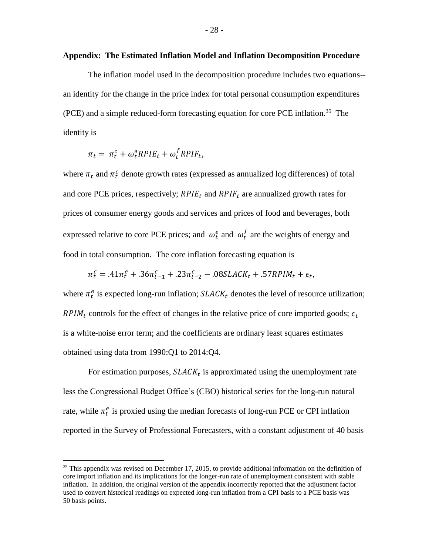#### **Appendix: The Estimated Inflation Model and Inflation Decomposition Procedure**

The inflation model used in the decomposition procedure includes two equations- an identity for the change in the price index for total personal consumption expenditures (PCE) and a simple reduced-form forecasting equation for core PCE inflation.<sup>35</sup> The identity is

$$
\pi_t = \pi_t^c + \omega_t^e RPIE_t + \omega_t^f RPIF_t,
$$

 $\overline{a}$ 

where  $\pi_t$  and  $\pi_t^c$  denote growth rates (expressed as annualized log differences) of total and core PCE prices, respectively;  $RPIE_t$  and  $RPIF_t$  are annualized growth rates for prices of consumer energy goods and services and prices of food and beverages, both expressed relative to core PCE prices; and  $\omega_t^e$  and  $\omega_t^f$  are the weights of energy and food in total consumption. The core inflation forecasting equation is

$$
\pi_t^c = .41\pi_t^e + .36\pi_{t-1}^c + .23\pi_{t-2}^c - .08SLACK_t + .57RPIM_t + \epsilon_t,
$$

where  $\pi_t^e$  is expected long-run inflation;  $SLACK_t$  denotes the level of resource utilization;  $RPIM_t$  controls for the effect of changes in the relative price of core imported goods;  $\epsilon_t$ is a white-noise error term; and the coefficients are ordinary least squares estimates obtained using data from 1990:Q1 to 2014:Q4.

For estimation purposes,  $SLACK_t$  is approximated using the unemployment rate less the Congressional Budget Office's (CBO) historical series for the long-run natural rate, while  $\pi_t^e$  is proxied using the median forecasts of long-run PCE or CPI inflation reported in the Survey of Professional Forecasters, with a constant adjustment of 40 basis

 $35$  This appendix was revised on December 17, 2015, to provide additional information on the definition of core import inflation and its implications for the longer-run rate of unemployment consistent with stable inflation. In addition, the original version of the appendix incorrectly reported that the adjustment factor used to convert historical readings on expected long-run inflation from a CPI basis to a PCE basis was 50 basis points.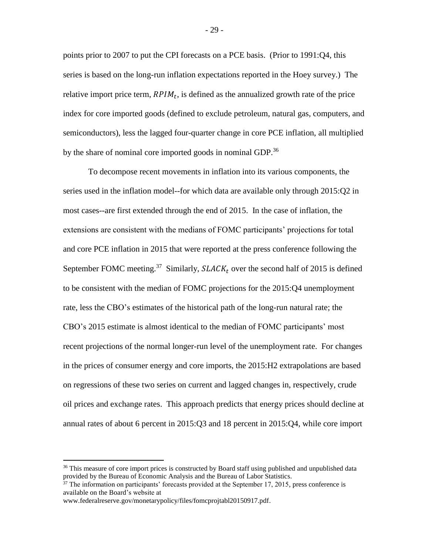points prior to 2007 to put the CPI forecasts on a PCE basis. (Prior to 1991:Q4, this series is based on the long-run inflation expectations reported in the Hoey survey.) The relative import price term,  $RPIM_t$ , is defined as the annualized growth rate of the price index for core imported goods (defined to exclude petroleum, natural gas, computers, and semiconductors), less the lagged four-quarter change in core PCE inflation, all multiplied by the share of nominal core imported goods in nominal GDP.<sup>36</sup>

To decompose recent movements in inflation into its various components, the series used in the inflation model--for which data are available only through 2015:Q2 in most cases--are first extended through the end of 2015. In the case of inflation, the extensions are consistent with the medians of FOMC participants' projections for total and core PCE inflation in 2015 that were reported at the press conference following the September FOMC meeting.<sup>37</sup> Similarly,  $SLACK_t$  over the second half of 2015 is defined to be consistent with the median of FOMC projections for the 2015:Q4 unemployment rate, less the CBO's estimates of the historical path of the long-run natural rate; the CBO's 2015 estimate is almost identical to the median of FOMC participants' most recent projections of the normal longer-run level of the unemployment rate. For changes in the prices of consumer energy and core imports, the 2015:H2 extrapolations are based on regressions of these two series on current and lagged changes in, respectively, crude oil prices and exchange rates. This approach predicts that energy prices should decline at annual rates of about 6 percent in 2015:Q3 and 18 percent in 2015:Q4, while core import

 $\overline{a}$ 

<sup>&</sup>lt;sup>36</sup> This measure of core import prices is constructed by Board staff using published and unpublished data provided by the Bureau of Economic Analysis and the Bureau of Labor Statistics.

 $37$  The information on participants' forecasts provided at the September 17, 2015, press conference is available on the Board's website at

[www.federalreserve.gov/monetarypolicy/files/fomcprojtabl20150917.pdf.](http://www.federalreserve.gov/monetarypolicy/files/fomcprojtabl20150917.pdf)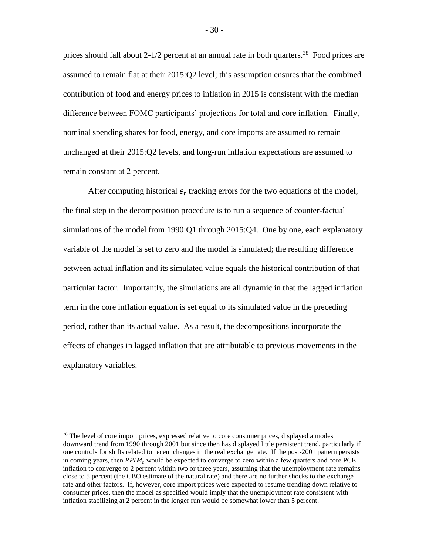prices should fall about  $2-1/2$  percent at an annual rate in both quarters.<sup>38</sup> Food prices are assumed to remain flat at their 2015:Q2 level; this assumption ensures that the combined contribution of food and energy prices to inflation in 2015 is consistent with the median difference between FOMC participants' projections for total and core inflation. Finally, nominal spending shares for food, energy, and core imports are assumed to remain unchanged at their 2015:Q2 levels, and long-run inflation expectations are assumed to remain constant at 2 percent.

After computing historical  $\epsilon_t$  tracking errors for the two equations of the model, the final step in the decomposition procedure is to run a sequence of counter-factual simulations of the model from 1990:Q1 through 2015:Q4. One by one, each explanatory variable of the model is set to zero and the model is simulated; the resulting difference between actual inflation and its simulated value equals the historical contribution of that particular factor. Importantly, the simulations are all dynamic in that the lagged inflation term in the core inflation equation is set equal to its simulated value in the preceding period, rather than its actual value. As a result, the decompositions incorporate the effects of changes in lagged inflation that are attributable to previous movements in the explanatory variables.

 $\overline{a}$ 

<sup>&</sup>lt;sup>38</sup> The level of core import prices, expressed relative to core consumer prices, displayed a modest downward trend from 1990 through 2001 but since then has displayed little persistent trend, particularly if one controls for shifts related to recent changes in the real exchange rate. If the post-2001 pattern persists in coming years, then  $RPIM_t$  would be expected to converge to zero within a few quarters and core PCE inflation to converge to 2 percent within two or three years, assuming that the unemployment rate remains close to 5 percent (the CBO estimate of the natural rate) and there are no further shocks to the exchange rate and other factors. If, however, core import prices were expected to resume trending down relative to consumer prices, then the model as specified would imply that the unemployment rate consistent with inflation stabilizing at 2 percent in the longer run would be somewhat lower than 5 percent.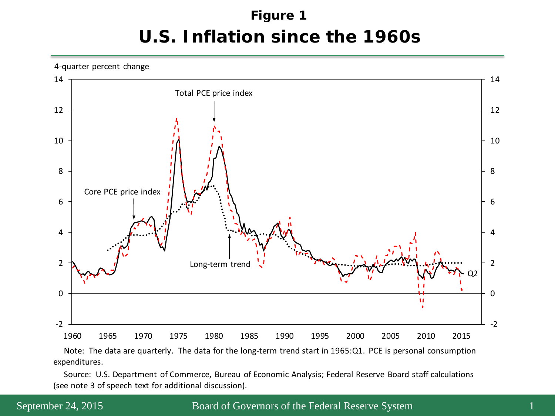# **U.S. Inflation since the 1960s Figure 1**

4-quarter percent change



Note: The data are quarterly. The data for the long-term trend start in 1965:Q1. PCE is personal consumption expenditures.

Source: U.S. Department of Commerce, Bureau of Economic Analysis; Federal Reserve Board staff calculations (see note 3 of speech text for additional discussion).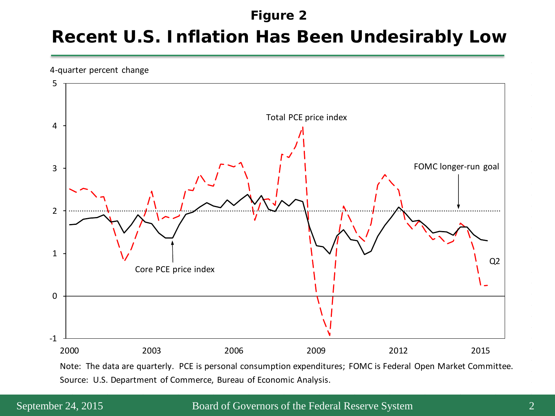# **Recent U.S. Inflation Has Been Undesirably Low**

### 4-quarter percent change



Source: U.S. Department of Commerce, Bureau of Economic Analysis.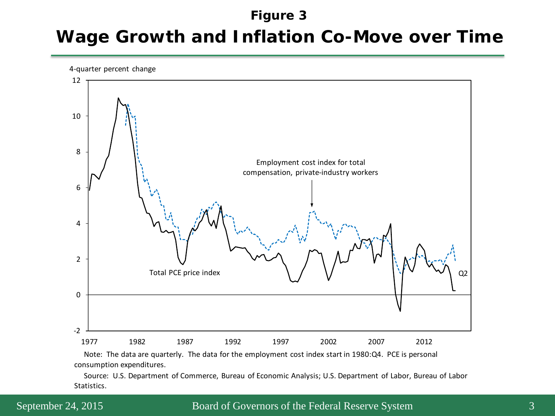# **Wage Growth and Inflation Co-Move over Time**





Note: The data are quarterly. The data for the employment cost index start in 1980:Q4. PCE is personal consumption expenditures.

Source: U.S. Department of Commerce, Bureau of Economic Analysis; U.S. Department of Labor, Bureau of Labor Statistics.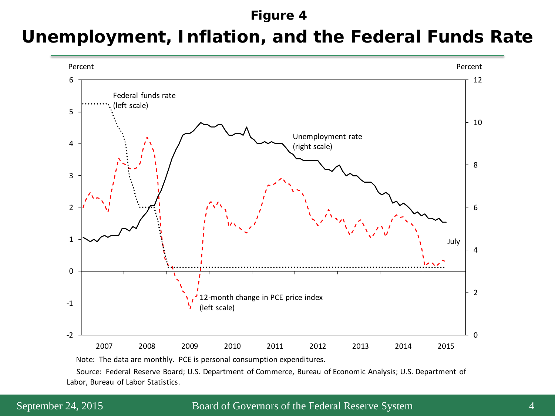# **Unemployment, Inflation, and the Federal Funds Rate**



Source: Federal Reserve Board; U.S. Department of Commerce, Bureau of Economic Analysis; U.S. Department of Labor, Bureau of Labor Statistics.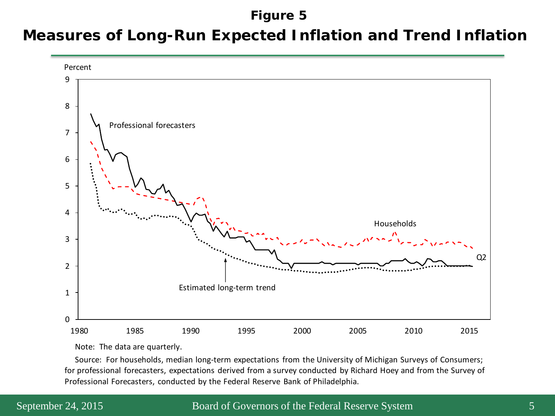# **Measures of Long-Run Expected Inflation and Trend Inflation**



Note: The data are quarterly.

Source: For households, median long-term expectations from the University of Michigan Surveys of Consumers; for professional forecasters, expectations derived from a survey conducted by Richard Hoey and from the Survey of Professional Forecasters, conducted by the Federal Reserve Bank of Philadelphia.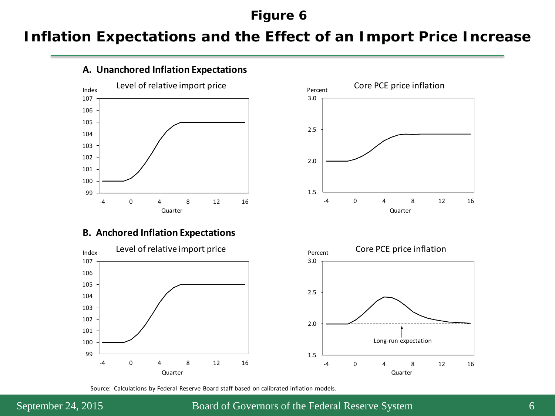# **Inflation Expectations and the Effect of an Import Price Increase**



### **A. Unanchored Inflation Expectations**



### **B. Anchored Inflation Expectations**



Source: Calculations by Federal Reserve Board staff based on calibrated inflation models.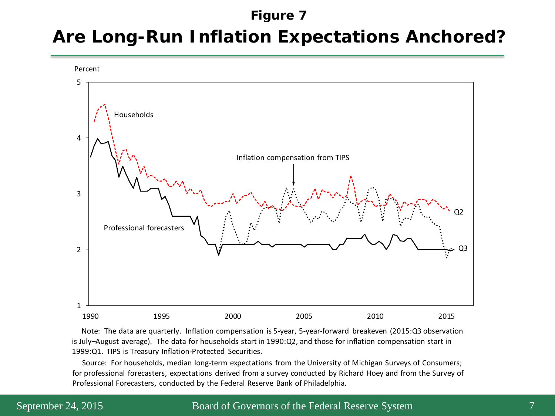# **Are Long-Run Inflation Expectations Anchored?**



Note: The data are quarterly. Inflation compensation is 5-year, 5-year-forward breakeven (2015:Q3 observation is July–August average). The data for households start in 1990:Q2, and those for inflation compensation start in 1999:Q1. TIPS is Treasury Inflation-Protected Securities.

Source: For households, median long-term expectations from the University of Michigan Surveys of Consumers; for professional forecasters, expectations derived from a survey conducted by Richard Hoey and from the Survey of Professional Forecasters, conducted by the Federal Reserve Bank of Philadelphia.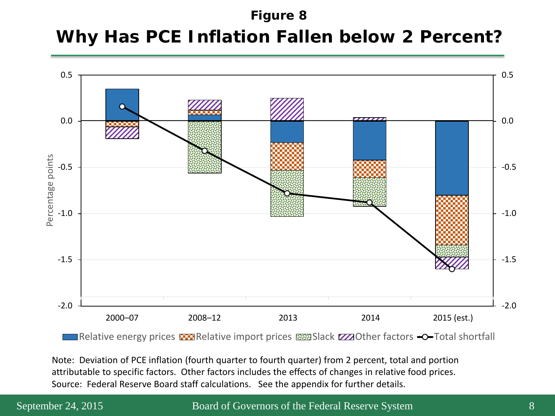# **Why Has PCE Inflation Fallen below 2 Percent?**



Relative energy prices **REP** Relative import prices **REP** Slack **ZZ2** Other factors  $\rightarrow$  Total shortfall

Note: Deviation of PCE inflation (fourth quarter to fourth quarter) from 2 percent, total and portion attributable to specific factors. Other factors includes the effects of changes in relative food prices. Source: Federal Reserve Board staff calculations. See the appendix for further details.